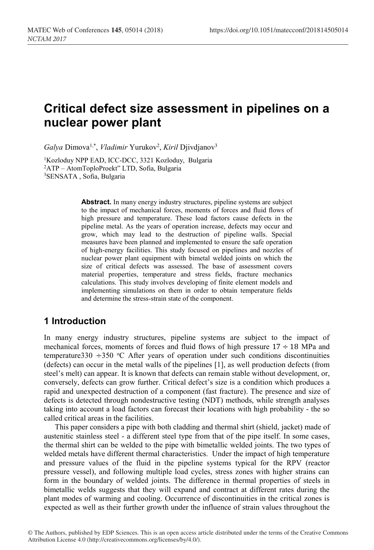# **Critical defect size assessment in pipelines on a nuclear power plant**

*Galya* Dimova1,\*, *Vladimir* Yurukov2 , *Kiril* Djivdjanov3

<sup>1</sup>Kozloduy NPP EAD, ICC-DCC, 3321 Kozloduy, Bulgaria <sup>2</sup>ATP – AtomToploProekt" LTD, Sofia, Bulgaria 3SENSATA , Sofia, Bulgaria

> **Abstract.** In many energy industry structures, pipeline systems are subject to the impact of mechanical forces, moments of forces and fluid flows of high pressure and temperature. These load factors cause defects in the pipeline metal. As the years of operation increase, defects may occur and grow, which may lead to the destruction of pipeline walls. Special measures have been planned and implemented to ensure the safe operation of high-energy facilities. This study focused on pipelines and nozzles of nuclear power plant equipment with bimetal welded joints on which the size of critical defects was assessed. The base of assessment covers material properties, temperature and stress fields, fracture mechanics calculations. This study involves developing of finite element models and implementing simulations on them in order to obtain temperature fields and determine the stress-strain state of the component.

# **1 Introduction**

In many energy industry structures, pipeline systems are subject to the impact of mechanical forces, moments of forces and fluid flows of high pressure  $17 \div 18$  MPa and temperature 330  $\div$  350 °C After years of operation under such conditions discontinuities (defects) can occur in the metal walls of the pipelines [1], as well production defects (from steel's melt) can appear. It is known that defects can remain stable without development, or, conversely, defects can grow further. Critical defect's size is a condition which produces a rapid and unexpected destruction of a component (fast fracture). The presence and size of defects is detected through nondestructive testing (NDT) methods, while strength analyses taking into account a load factors can forecast their locations with high probability - the so called critical areas in the facilities.

This paper considers a pipe with both cladding and thermal shirt (shield, jacket) made of austenitic stainless steel - a different steel type from that of the pipe itself. In some cases, the thermal shirt can be welded to the pipe with bimetallic welded joints. The two types of welded metals have different thermal characteristics. Under the impact of high temperature and pressure values of the fluid in the pipeline systems typical for the RPV (reactor pressure vessel), and following multiple load cycles, stress zones with higher strains can form in the boundary of welded joints. The difference in thermal properties of steels in bimetallic welds suggests that they will expand and contract at different rates during the plant modes of warming and cooling. Occurrence of discontinuities in the critical zones is expected as well as their further growth under the influence of strain values throughout the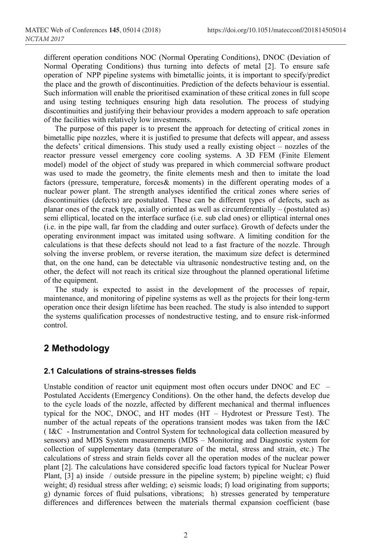different operation conditions NOC (Normal Operating Conditions), DNOC (Deviation of Normal Operating Conditions) thus turning into defects of metal [2]. To ensure safe operation of NPP pipeline systems with bimetallic joints, it is important to specify/predict the place and the growth of discontinuities. Prediction of the defects behaviour is essential. Such information will enable the prioritised examination of these critical zones in full scope and using testing techniques ensuring high data resolution. The process of studying discontinuities and justifying their behaviour provides a modern approach to safe operation of the facilities with relatively low investments.

The purpose of this paper is to present the approach for detecting of critical zones in bimetallic pipe nozzles, where it is justified to presume that defects will appear, and assess the defects' critical dimensions. This study used a really existing object – nozzles of the reactor pressure vessel emergency core cooling systems. A 3D FEM (Finite Element model) model of the object of study was prepared in which commercial software product was used to made the geometry, the finite elements mesh and then to imitate the load factors (pressure, temperature, forces& moments) in the different operating modes of a nuclear power plant. The strength analyses identified the critical zones where series of discontinuities (defects) are postulated. These can be different types of defects, such as planar ones of the crack type, axially oriented as well as circumferentially – (postulated as) semi elliptical, located on the interface surface (i.e. sub clad ones) or elliptical internal ones (i.e. in the pipe wall, far from the cladding and outer surface). Growth of defects under the operating environment impact was imitated using software. A limiting condition for the calculations is that these defects should not lead to a fast fracture of the nozzle. Through solving the inverse problem, or reverse iteration, the maximum size defect is determined that, on the one hand, can be detectable via ultrasonic nondestructive testing and, on the other, the defect will not reach its critical size throughout the planned operational lifetime of the equipment.

The study is expected to assist in the development of the processes of repair, maintenance, and monitoring of pipeline systems as well as the projects for their long-term operation once their design lifetime has been reached. The study is also intended to support the systems qualification processes of nondestructive testing, and to ensure risk-informed control.

# **2 Methodology**

#### **2.1 Calculations of strains-stresses fields**

Unstable condition of reactor unit equipment most often occurs under DNOC and EC – Postulated Accidents (Emergency Conditions). On the other hand, the defects develop due to the cycle loads of the nozzle, affected by different mechanical and thermal influences typical for the NOC, DNOC, and HT modes (HT – Hydrotest or Pressure Test). The number of the actual repeats of the operations transient modes was taken from the I&C ( I&C - Instrumentation and Control System for technological data collection measured by sensors) and MDS System measurements (MDS – Monitoring and Diagnostic system for collection of supplementary data (temperature of the metal, stress and strain, etc.) The calculations of stress and strain fields cover all the operation modes of the nuclear power plant [2]. The calculations have considered specific load factors typical for Nuclear Power Plant, [3] a) inside / outside pressure in the pipeline system; b) pipeline weight; c) fluid weight; d) residual stress after welding; e) seismic loads; f) load originating from supports; g) dynamic forces of fluid pulsations, vibrations; h) stresses generated by temperature differences and differences between the materials thermal expansion coefficient (base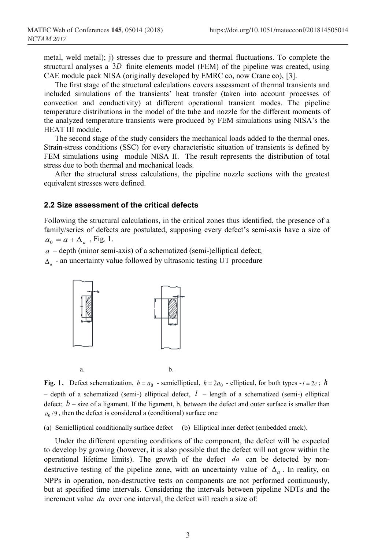metal, weld metal); j) stresses due to pressure and thermal fluctuations. To complete the structural analyses a 3*D* finite elements model (FEM) of the pipeline was created, using CAE module pack NISA (originally developed by EMRC co, now Crane co), [3].

The first stage of the structural calculations covers assessment of thermal transients and included simulations of the transients' heat transfer (taken into account processes of convection and conductivity) at different operational transient modes. The pipeline temperature distributions in the model of the tube and nozzle for the different moments of the analyzed temperature transients were produced by FEM simulations using NISA's the HEAT III module.

The second stage of the study considers the mechanical loads added to the thermal ones. Strain-stress conditions (SSC) for every characteristic situation of transients is defined by FEM simulations using module NISA II. The result represents the distribution of total stress due to both thermal and mechanical loads.

After the structural stress calculations, the pipeline nozzle sections with the greatest equivalent stresses were defined.

#### **2.2 Size assessment of the critical defects**

Following the structural calculations, in the critical zones thus identified, the presence of a family/series of defects are postulated, supposing every defect's semi-axis have a size of  $a_0 = a + \Delta_a$ , Fig. 1.

 $a -$ depth (minor semi-axis) of a schematized (semi-)elliptical defect;

 $\Delta_a$  - an uncertainty value followed by ultrasonic testing UT procedure



**Fig.** 1. Defect schematization,  $h = a_0$  - semielliptical,  $h = 2a_0$  - elliptical, for both types - $l = 2c$ ; *h* – depth of a schematized (semi-) elliptical defect, *l* – length of a schematized (semi-) elliptical defect; *b* – size of a ligament. If the ligament, b, between the defect and outer surface is smaller than  $a_0/9$ , then the defect is considered a (conditional) surface one

(a) Semielliptical conditionally surface defect (b) Elliptical inner defect (embedded crack).

Under the different operating conditions of the component, the defect will be expected to develop by growing (however, it is also possible that the defect will not grow within the operational lifetime limits). The growth of the defect *da* can be detected by nondestructive testing of the pipeline zone, with an uncertainty value of  $\Delta_a$ . In reality, on NPPs in operation, non-destructive tests on components are not performed continuously, but at specified time intervals. Considering the intervals between pipeline NDTs and the increment value *da* over one interval, the defect will reach a size of: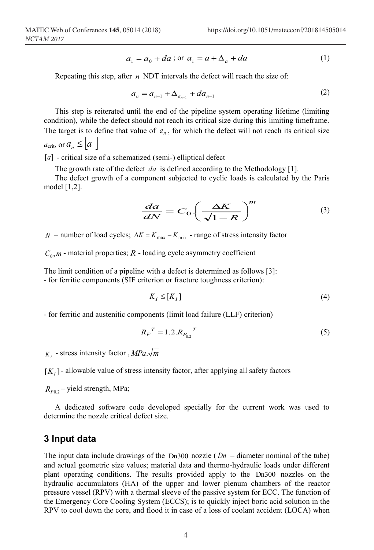$$
a_1 = a_0 + da \text{; or } a_1 = a + \Delta_a + da \tag{1}
$$

Repeating this step, after  $n$  NDT intervals the defect will reach the size of:

$$
a_n = a_{n-1} + \Delta_{a_{n-1}} + da_{n-1} \tag{2}
$$

This step is reiterated until the end of the pipeline system operating lifetime (limiting condition), while the defect should not reach its critical size during this limiting timeframe. The target is to define that value of  $a_n$ , for which the defect will not reach its critical size  $a_{\text{crit}}$ , or  $a_n \leq |a|$ 

[*a*] - critical size of a schematized (semi-) elliptical defect

The growth rate of the defect *da* is defined according to the Methodology [1].

The defect growth of a component subjected to cyclic loads is calculated by the Paris model [1,2].

$$
\frac{da}{dN} = C_0 \left(\frac{\Delta K}{\sqrt{1 - R}}\right)^m \tag{3}
$$

*N* – number of load cycles;  $\Delta K = K_{\text{max}} - K_{\text{min}}$  – range of stress intensity factor

 $C_0$ , *m* - material properties; *R* - loading cycle asymmetry coefficient

The limit condition of a pipeline with a defect is determined as follows [3]: - for ferritic components (SIF criterion or fracture toughness criterion):

$$
K_I \leq [K_I] \tag{4}
$$

- for ferritic and austenitic components (limit load failure (LLF) criterion)

$$
R_F^T = 1.2.R_{P_{0.2}}^T
$$
 (5)

 $K_i$  - stress intensity factor,  $MPa.\sqrt{m}$ 

 $[K<sub>i</sub>]$  - allowable value of stress intensity factor, after applying all safety factors

 $R_{p_0}$ <sub>2</sub> – yield strength, MPa;

A dedicated software code developed specially for the current work was used to determine the nozzle critical defect size.

### **3 Input data**

The input data include drawings of the Dn300 nozzle ( *Dn* – diameter nominal of the tube) and actual geometric size values; material data and thermo-hydraulic loads under different plant operating conditions. The results provided apply to the Dn300 nozzles on the hydraulic accumulators (HA) of the upper and lower plenum chambers of the reactor pressure vessel (RPV) with a thermal sleeve of the passive system for ECC. The function of the Emergency Core Cooling System (ECCS); is to quickly inject boric acid solution in the RPV to cool down the core, and flood it in case of a loss of coolant accident (LOCA) when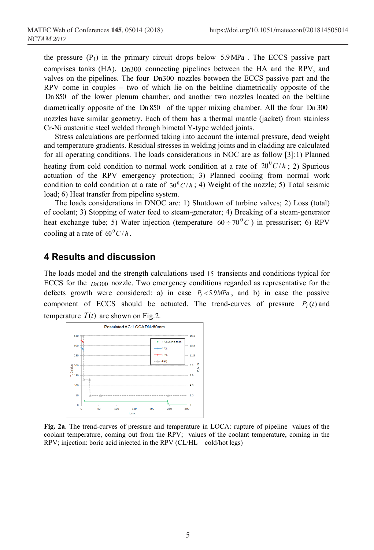the pressure  $(P_1)$  in the primary circuit drops below 5.9 MPa . The ECCS passive part comprises tanks (HA), Dn300 connecting pipelines between the HA and the RPV, and valves on the pipelines. The four Dn300 nozzles between the ECCS passive part and the RPV come in couples – two of which lie on the beltline diametrically opposite of the Dn 850 of the lower plenum chamber, and another two nozzles located on the beltline diametrically opposite of the Dn 850 of the upper mixing chamber. All the four Dn 300 nozzles have similar geometry. Each of them has a thermal mantle (jacket) from stainless Cr-Ni austenitic steel welded through bimetal Y-type welded joints.

Stress calculations are performed taking into account the internal pressure, dead weight and temperature gradients. Residual stresses in welding joints and in cladding are calculated for all operating conditions. The loads considerations in NOC are as follow [3]:1) Planned heating from cold condition to normal work condition at a rate of  $20^{\circ}C/h$ ; 2) Spurious actuation of the RPV emergency protection; 3) Planned cooling from normal work condition to cold condition at a rate of  $30^{\circ}C/h$ ; 4) Weight of the nozzle; 5) Total seismic load; 6) Heat transfer from pipeline system.

The loads considerations in DNOC are: 1) Shutdown of turbine valves; 2) Loss (total) of coolant; 3) Stopping of water feed to steam-generator; 4) Breaking of a steam-generator heat exchange tube; 5) Water injection (temperature  $60 \div 70^\circ C$ ) in pressuriser; 6) RPV cooling at a rate of  $60^{\circ}C/h$ .

### **4 Results and discussion**

The loads model and the strength calculations used 15 transients and conditions typical for ECCS for the *Dn*300 nozzle. Two emergency conditions regarded as representative for the defects growth were considered: a) in case  $P_1 < 5.9 MPa$ , and b) in case the passive component of ECCS should be actuated. The trend-curves of pressure  $P_t(t)$  and temperature  $T(t)$  are shown on Fig.2.



**Fig. 2a**. The trend-curves of pressure and temperature in LOCA: rupture of pipeline values of the coolant temperature, coming out from the RPV; values of the coolant temperature, coming in the RPV; injection: boric acid injected in the RPV (CL/HL – cold/hot legs)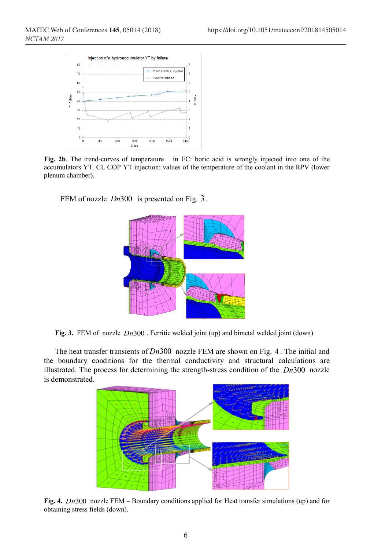

**Fig. 2b**. The trend-curves of temperature in EC: boric acid is wrongly injected into one of the accumulators YT. CL COP YT injection: values of the temperature of the coolant in the RPV (lower plenum chamber).

FEM of nozzle *Dn*300 is presented on Fig. 3.



**Fig. 3.** FEM of nozzle *Dn*300 . Ferritic welded joint (up) and bimetal welded joint (down)

The heat transfer transients of *Dn*300 nozzle FEM are shown on Fig. 4 . The initial and the boundary conditions for the thermal conductivity and structural calculations are illustrated. The process for determining the strength-stress condition of the *Dn*300 nozzle is demonstrated.



**Fig. 4.** *Dn*300 nozzle FEM – Boundary conditions applied for Heat transfer simulations (up) and for obtaining stress fields (down).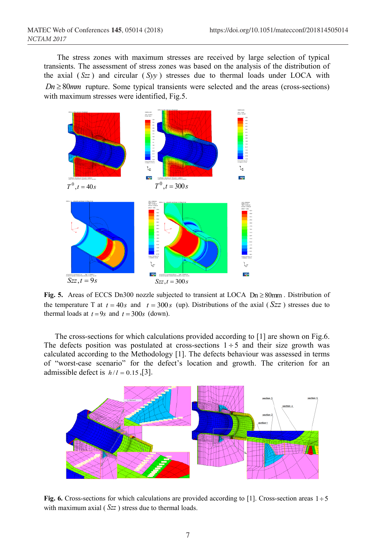The stress zones with maximum stresses are received by large selection of typical transients. The assessment of stress zones was based on the analysis of the distribution of the axial ( *Szz* ) and circular ( *Syy* ) stresses due to thermal loads under LOCA with  $Dn \geq 80$ *mm* rupture. Some typical transients were selected and the areas (cross-sections) with maximum stresses were identified, Fig.5.



**Fig. 5.** Areas of ECCS Dn300 nozzle subjected to transient at LOCA  $Dn \ge 80$ mm. Distribution of the temperature T at  $t = 40s$  and  $t = 300s$  (up). Distributions of the axial ( $\overline{Szz}$ ) stresses due to thermal loads at  $t = 9s$  and  $t = 300s$  (down).

The cross-sections for which calculations provided according to [1] are shown on Fig.6. The defects position was postulated at cross-sections  $1 \div 5$  and their size growth was calculated according to the Methodology [1]. The defects behaviour was assessed in terms of "worst-case scenario" for the defect's location and growth. The criterion for an admissible defect is  $h/l = 0.15$ , [3].



**Fig.** 6. Cross-sections for which calculations are provided according to [1]. Cross-section areas  $1 \div 5$ with maximum axial ( *Szz* ) stress due to thermal loads.